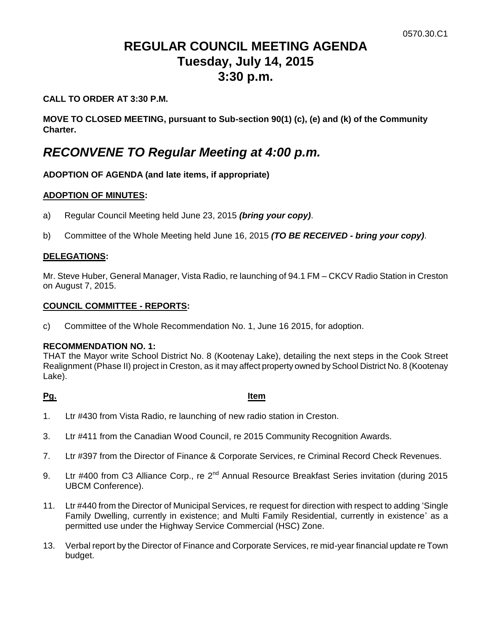# **REGULAR COUNCIL MEETING AGENDA Tuesday, July 14, 2015 3:30 p.m.**

# **CALL TO ORDER AT 3:30 P.M.**

**MOVE TO CLOSED MEETING, pursuant to Sub-section 90(1) (c), (e) and (k) of the Community Charter.**

# *RECONVENE TO Regular Meeting at 4:00 p.m.*

# **ADOPTION OF AGENDA (and late items, if appropriate)**

## **ADOPTION OF MINUTES:**

- a) Regular Council Meeting held June 23, 2015 *(bring your copy)*.
- b) Committee of the Whole Meeting held June 16, 2015 *(TO BE RECEIVED - bring your copy)*.

# **DELEGATIONS:**

Mr. Steve Huber, General Manager, Vista Radio, re launching of 94.1 FM – CKCV Radio Station in Creston on August 7, 2015.

## **COUNCIL COMMITTEE - REPORTS:**

c) Committee of the Whole Recommendation No. 1, June 16 2015, for adoption.

#### **RECOMMENDATION NO. 1:**

THAT the Mayor write School District No. 8 (Kootenay Lake), detailing the next steps in the Cook Street Realignment (Phase II) project in Creston, as it may affect property owned by School District No. 8 (Kootenay Lake).

## **Pg. Item**

- 1. Ltr #430 from Vista Radio, re launching of new radio station in Creston.
- 3. Ltr #411 from the Canadian Wood Council, re 2015 Community Recognition Awards.
- 7. Ltr #397 from the Director of Finance & Corporate Services, re Criminal Record Check Revenues.
- 9. Ltr #400 from C3 Alliance Corp., re 2<sup>nd</sup> Annual Resource Breakfast Series invitation (during 2015 UBCM Conference).
- 11. Ltr #440 from the Director of Municipal Services, re request for direction with respect to adding 'Single Family Dwelling, currently in existence; and Multi Family Residential, currently in existence' as a permitted use under the Highway Service Commercial (HSC) Zone.
- 13. Verbal report by the Director of Finance and Corporate Services, re mid-year financial update re Town budget.